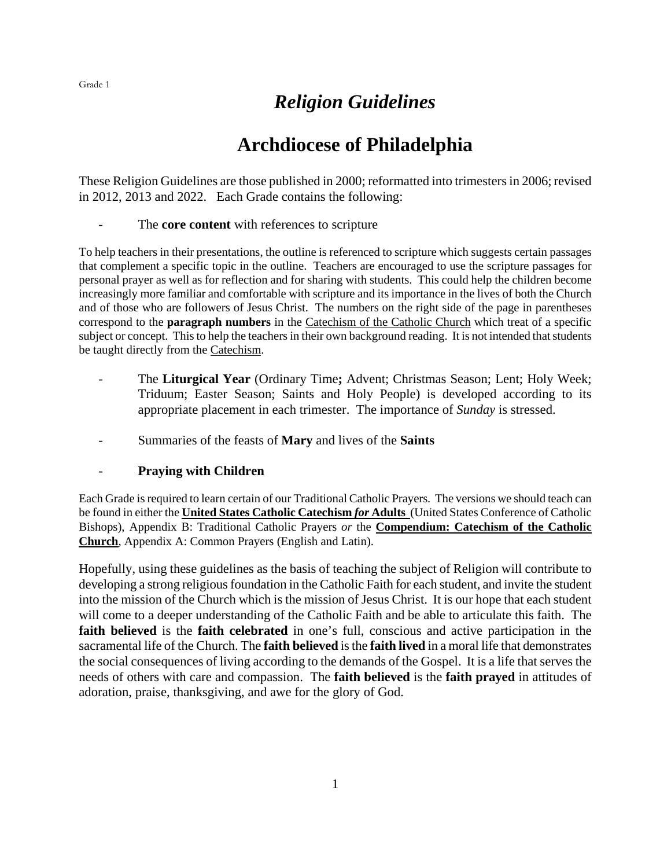## *Religion Guidelines*

## **Archdiocese of Philadelphia**

These Religion Guidelines are those published in 2000; reformatted into trimesters in 2006; revised in 2012, 2013 and 2022. Each Grade contains the following:

#### The **core content** with references to scripture

To help teachers in their presentations, the outline is referenced to scripture which suggests certain passages that complement a specific topic in the outline. Teachers are encouraged to use the scripture passages for personal prayer as well as for reflection and for sharing with students. This could help the children become increasingly more familiar and comfortable with scripture and its importance in the lives of both the Church and of those who are followers of Jesus Christ. The numbers on the right side of the page in parentheses correspond to the **paragraph numbers** in the Catechism of the Catholic Church which treat of a specific subject or concept. This to help the teachers in their own background reading. It is not intended that students be taught directly from the Catechism.

- The **Liturgical Year** (Ordinary Time**;** Advent; Christmas Season; Lent; Holy Week; Triduum; Easter Season; Saints and Holy People) is developed according to its appropriate placement in each trimester. The importance of *Sunday* is stressed.
- Summaries of the feasts of **Mary** and lives of the **Saints**

#### - **Praying with Children**

Each Grade is required to learn certain of our Traditional Catholic Prayers. The versions we should teach can be found in either the **United States Catholic Catechism** *for* **Adults** (United States Conference of Catholic Bishops), Appendix B: Traditional Catholic Prayers *or* the **Compendium: Catechism of the Catholic Church**, Appendix A: Common Prayers (English and Latin).

Hopefully, using these guidelines as the basis of teaching the subject of Religion will contribute to developing a strong religious foundation in the Catholic Faith for each student, and invite the student into the mission of the Church which is the mission of Jesus Christ. It is our hope that each student will come to a deeper understanding of the Catholic Faith and be able to articulate this faith. The **faith believed** is the **faith celebrated** in one's full, conscious and active participation in the sacramental life of the Church. The **faith believed** is the **faith lived** in a moral life that demonstrates the social consequences of living according to the demands of the Gospel. It is a life that serves the needs of others with care and compassion. The **faith believed** is the **faith prayed** in attitudes of adoration, praise, thanksgiving, and awe for the glory of God.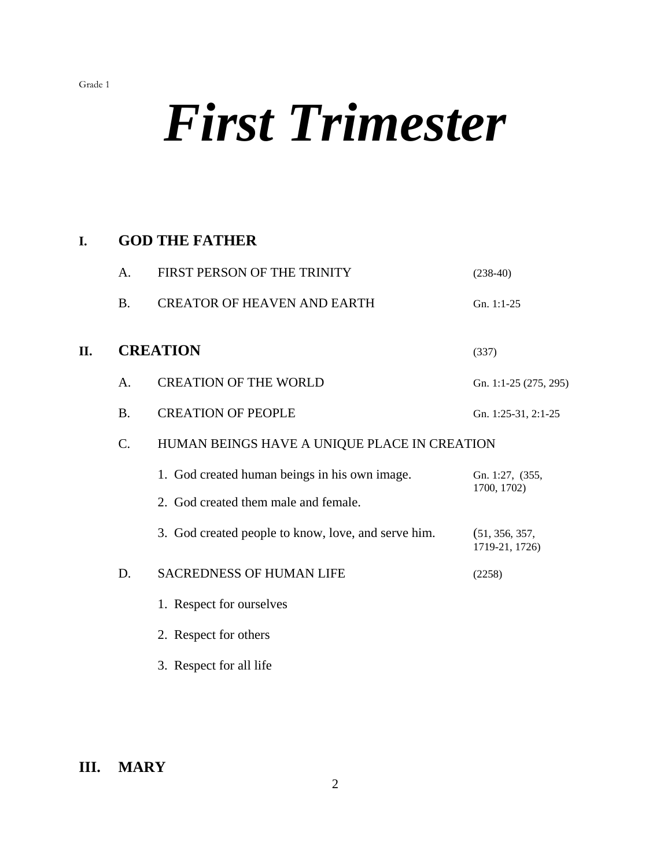# *First Trimester*

## **I. GOD THE FATHER**

|    | A.        | FIRST PERSON OF THE TRINITY                                                           | $(238-40)$                       |
|----|-----------|---------------------------------------------------------------------------------------|----------------------------------|
|    | <b>B.</b> | <b>CREATOR OF HEAVEN AND EARTH</b>                                                    | Gn. 1:1-25                       |
| П. |           | <b>CREATION</b>                                                                       | (337)                            |
|    | A.        | <b>CREATION OF THE WORLD</b>                                                          | Gn. 1:1-25 (275, 295)            |
|    | <b>B.</b> | <b>CREATION OF PEOPLE</b>                                                             | Gn. 1:25-31, 2:1-25              |
|    | C.        | HUMAN BEINGS HAVE A UNIQUE PLACE IN CREATION                                          |                                  |
|    |           | 1. God created human beings in his own image.<br>2. God created them male and female. | Gn. 1:27, (355,<br>1700, 1702)   |
|    |           | 3. God created people to know, love, and serve him.                                   | (51, 356, 357,<br>1719-21, 1726) |
|    | D.        | <b>SACREDNESS OF HUMAN LIFE</b>                                                       | (2258)                           |
|    |           | 1. Respect for ourselves                                                              |                                  |
|    |           | 2. Respect for others                                                                 |                                  |
|    |           | 3. Respect for all life                                                               |                                  |

## **III. MARY**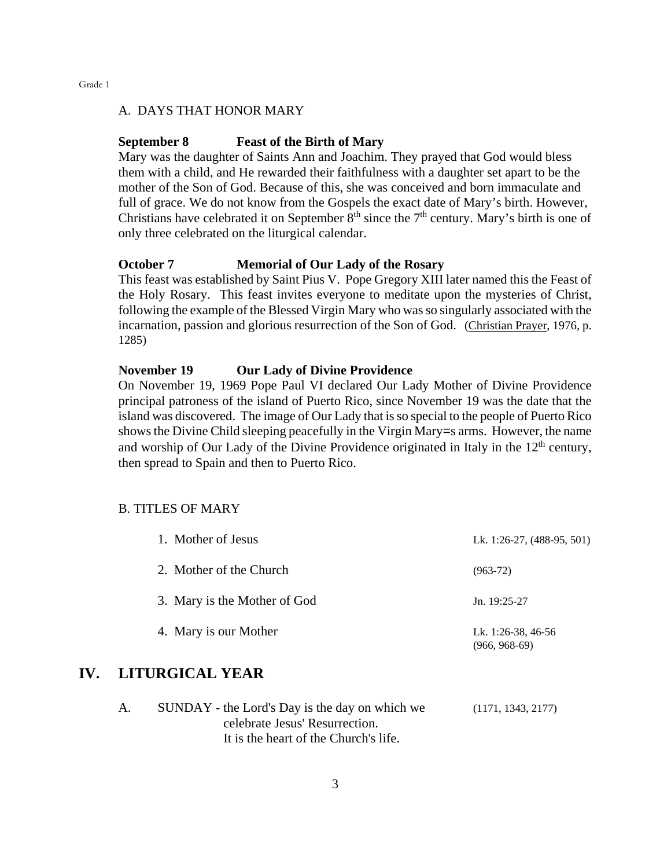#### A. DAYS THAT HONOR MARY

#### **September 8 Feast of the Birth of Mary**

Mary was the daughter of Saints Ann and Joachim. They prayed that God would bless them with a child, and He rewarded their faithfulness with a daughter set apart to be the mother of the Son of God. Because of this, she was conceived and born immaculate and full of grace. We do not know from the Gospels the exact date of Mary's birth. However, Christians have celebrated it on September  $8<sup>th</sup>$  since the  $7<sup>th</sup>$  century. Mary's birth is one of only three celebrated on the liturgical calendar.

#### **October 7 Memorial of Our Lady of the Rosary**

This feast was established by Saint Pius V. Pope Gregory XIII later named this the Feast of the Holy Rosary. This feast invites everyone to meditate upon the mysteries of Christ, following the example of the Blessed Virgin Mary who was so singularly associated with the incarnation, passion and glorious resurrection of the Son of God. (Christian Prayer, 1976, p. 1285)

#### **November 19 Our Lady of Divine Providence**

On November 19, 1969 Pope Paul VI declared Our Lady Mother of Divine Providence principal patroness of the island of Puerto Rico, since November 19 was the date that the island was discovered. The image of Our Lady that is so special to the people of Puerto Rico shows the Divine Child sleeping peacefully in the Virgin Mary=s arms. However, the name and worship of Our Lady of the Divine Providence originated in Italy in the  $12<sup>th</sup>$  century, then spread to Spain and then to Puerto Rico.

#### B. TITLES OF MARY

| 1. Mother of Jesus           | Lk. 1:26-27, (488-95, 501)            |
|------------------------------|---------------------------------------|
| 2. Mother of the Church      | $(963-72)$                            |
| 3. Mary is the Mother of God | Jn. $19:25-27$                        |
| 4. Mary is our Mother        | Lk. 1:26-38, 46-56<br>$(966, 968-69)$ |

## **IV. LITURGICAL YEAR**

| SUNDAY - the Lord's Day is the day on which we | (1171, 1343, 2177) |
|------------------------------------------------|--------------------|
| celebrate Jesus' Resurrection.                 |                    |
| It is the heart of the Church's life.          |                    |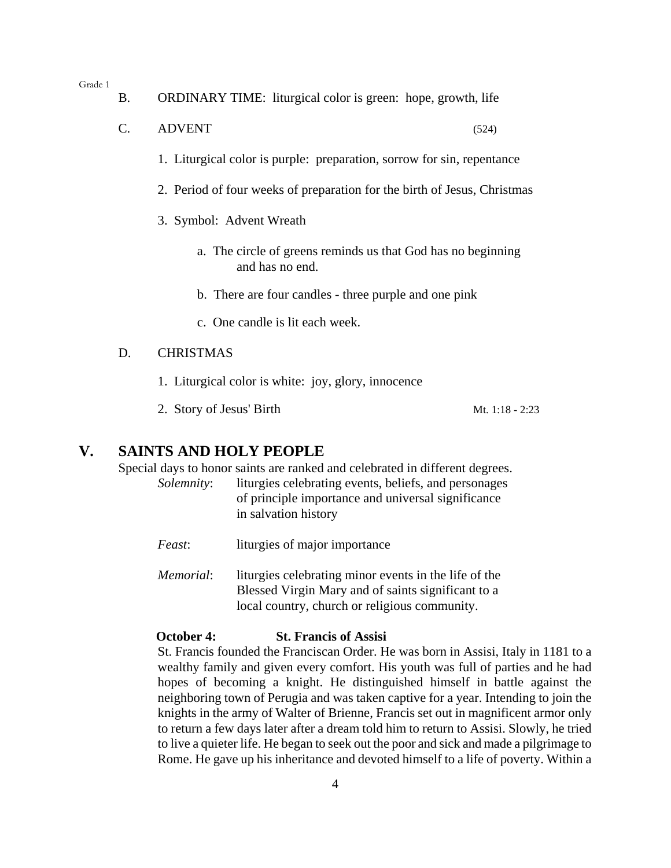- B. ORDINARY TIME: liturgical color is green: hope, growth, life
- $C.$  ADVENT (524)
	- 1. Liturgical color is purple: preparation, sorrow for sin, repentance
	- 2. Period of four weeks of preparation for the birth of Jesus, Christmas
	- 3. Symbol: Advent Wreath
		- a. The circle of greens reminds us that God has no beginning and has no end.
		- b. There are four candles three purple and one pink
		- c. One candle is lit each week.

#### D. CHRISTMAS

- 1. Liturgical color is white: joy, glory, innocence
- 2. Story of Jesus' Birth Mt. 1:18 2:23

### **V. SAINTS AND HOLY PEOPLE**

Special days to honor saints are ranked and celebrated in different degrees.

- *Solemnity*: liturgies celebrating events, beliefs, and personages of principle importance and universal significance in salvation history
- *Feast*: liturgies of major importance
- *Memorial*: liturgies celebrating minor events in the life of the Blessed Virgin Mary and of saints significant to a local country, church or religious community.

#### **October 4: St. Francis of Assisi**

St. Francis founded the Franciscan Order. He was born in Assisi, Italy in 1181 to a wealthy family and given every comfort. His youth was full of parties and he had hopes of becoming a knight. He distinguished himself in battle against the neighboring town of Perugia and was taken captive for a year. Intending to join the knights in the army of Walter of Brienne, Francis set out in magnificent armor only to return a few days later after a dream told him to return to Assisi. Slowly, he tried to live a quieter life. He began to seek out the poor and sick and made a pilgrimage to Rome. He gave up his inheritance and devoted himself to a life of poverty. Within a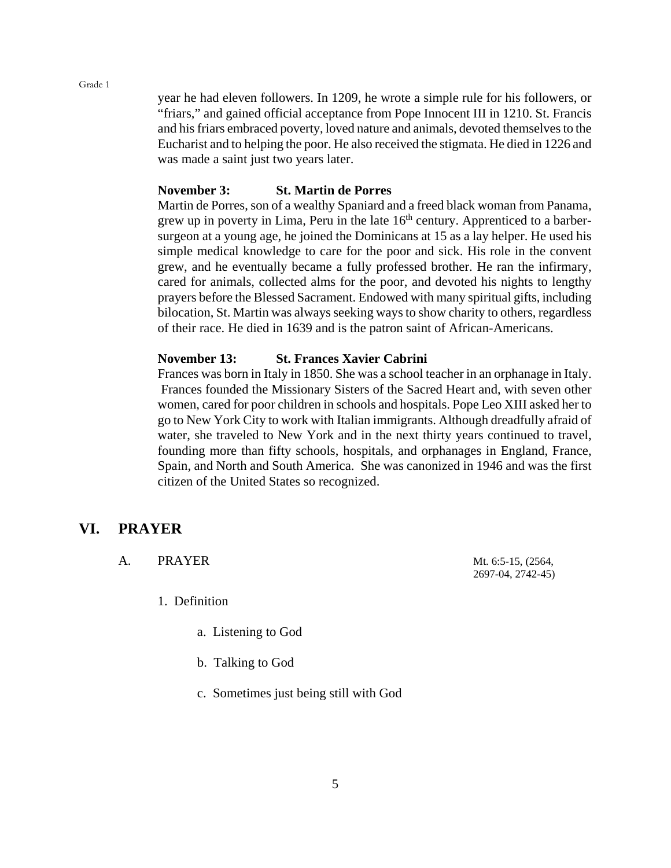year he had eleven followers. In 1209, he wrote a simple rule for his followers, or "friars," and gained official acceptance from Pope Innocent III in 1210. St. Francis and his friars embraced poverty, loved nature and animals, devoted themselves to the Eucharist and to helping the poor. He also received the stigmata. He died in 1226 and was made a saint just two years later.

#### **November 3: St. Martin de Porres**

Martin de Porres, son of a wealthy Spaniard and a freed black woman from Panama, grew up in poverty in Lima, Peru in the late  $16<sup>th</sup>$  century. Apprenticed to a barbersurgeon at a young age, he joined the Dominicans at 15 as a lay helper. He used his simple medical knowledge to care for the poor and sick. His role in the convent grew, and he eventually became a fully professed brother. He ran the infirmary, cared for animals, collected alms for the poor, and devoted his nights to lengthy prayers before the Blessed Sacrament. Endowed with many spiritual gifts, including bilocation, St. Martin was always seeking ways to show charity to others, regardless of their race. He died in 1639 and is the patron saint of African-Americans.

#### **November 13: St. Frances Xavier Cabrini**

Frances was born in Italy in 1850. She was a school teacher in an orphanage in Italy. Frances founded the Missionary Sisters of the Sacred Heart and, with seven other women, cared for poor children in schools and hospitals. Pope Leo XIII asked her to go to New York City to work with Italian immigrants. Although dreadfully afraid of water, she traveled to New York and in the next thirty years continued to travel, founding more than fifty schools, hospitals, and orphanages in England, France, Spain, and North and South America. She was canonized in 1946 and was the first citizen of the United States so recognized.

#### **VI. PRAYER**

A. PRAYER Mt. 6:5-15, (2564,

1. Definition

- a. Listening to God
- b. Talking to God
- c. Sometimes just being still with God

2697-04, 2742-45)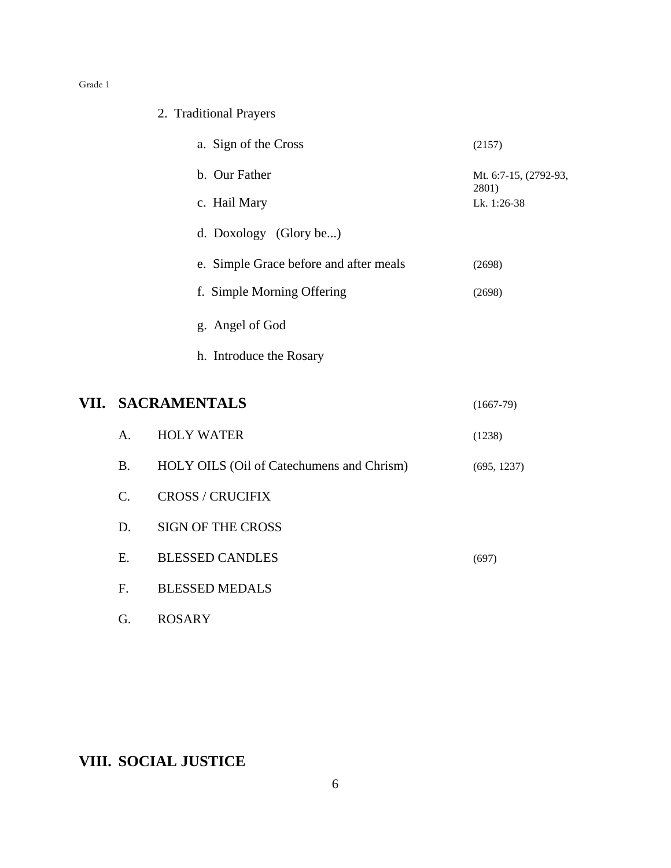## 2. Traditional Prayers

| a. Sign of the Cross                   | (2157)                         |
|----------------------------------------|--------------------------------|
| b. Our Father                          | Mt. 6:7-15, (2792-93,<br>2801) |
| c. Hail Mary                           | Lk. $1:26-38$                  |
| d. Doxology (Glory be)                 |                                |
| e. Simple Grace before and after meals | (2698)                         |
| f. Simple Morning Offering             | (2698)                         |
| g. Angel of God                        |                                |
| h. Introduce the Rosary                |                                |

## **VII. SACRAMENTALS** (1667-79)

| $\mathsf{A}$ . | <b>HOLY WATER</b>                         | (1238)      |
|----------------|-------------------------------------------|-------------|
| <b>B.</b>      | HOLY OILS (Oil of Catechumens and Chrism) | (695, 1237) |
| C.             | <b>CROSS / CRUCIFIX</b>                   |             |
| D.             | <b>SIGN OF THE CROSS</b>                  |             |
| E.             | <b>BLESSED CANDLES</b>                    | (697)       |
| $\mathbf{F}$ . | <b>BLESSED MEDALS</b>                     |             |
| G.             | <b>ROSARY</b>                             |             |

**VIII. SOCIAL JUSTICE**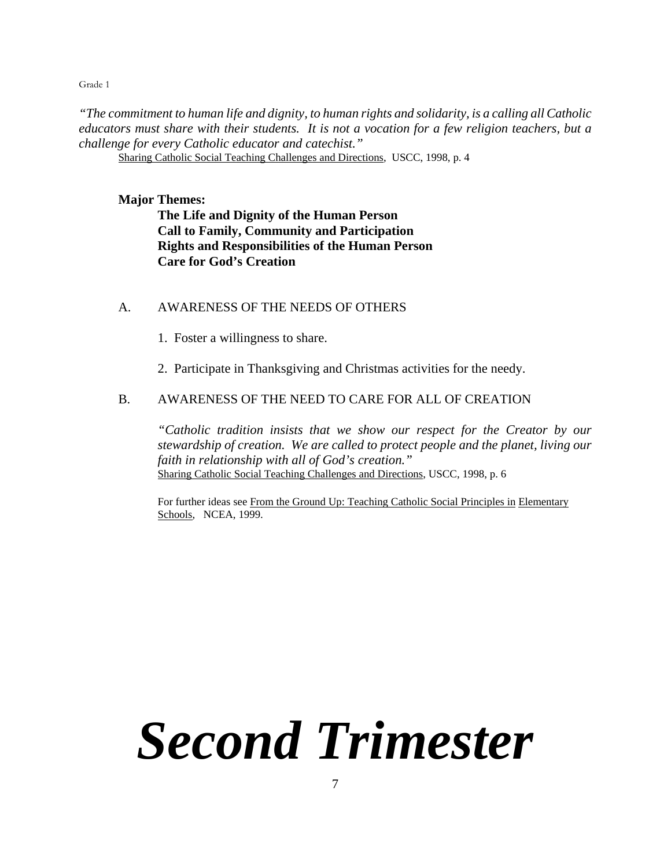*"The commitment to human life and dignity, to human rights and solidarity, is a calling all Catholic educators must share with their students. It is not a vocation for a few religion teachers, but a challenge for every Catholic educator and catechist."*

Sharing Catholic Social Teaching Challenges and Directions, USCC, 1998, p. 4

**Major Themes:**

**The Life and Dignity of the Human Person Call to Family, Community and Participation Rights and Responsibilities of the Human Person Care for God's Creation**

A. AWARENESS OF THE NEEDS OF OTHERS

- 1. Foster a willingness to share.
- 2. Participate in Thanksgiving and Christmas activities for the needy.

#### B. AWARENESS OF THE NEED TO CARE FOR ALL OF CREATION

*"Catholic tradition insists that we show our respect for the Creator by our stewardship of creation. We are called to protect people and the planet, living our faith in relationship with all of God's creation."* Sharing Catholic Social Teaching Challenges and Directions, USCC, 1998, p. 6

For further ideas see From the Ground Up: Teaching Catholic Social Principles in Elementary Schools, NCEA, 1999.

# *Second Trimester*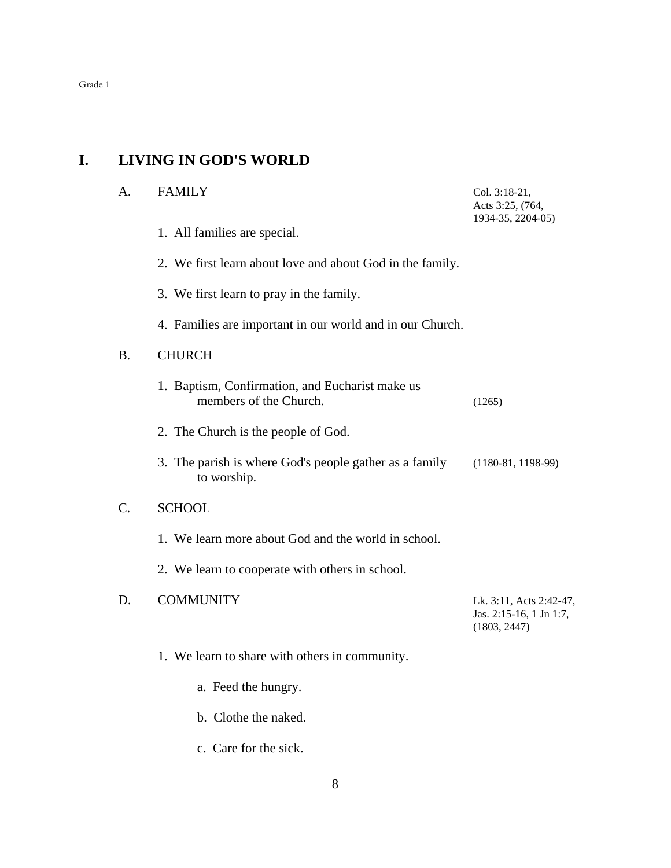## **I. LIVING IN GOD'S WORLD**

| A. | <b>FAMILY</b>                                                             | Col. 3:18-21,<br>Acts 3:25, (764,<br>1934-35, 2204-05)             |
|----|---------------------------------------------------------------------------|--------------------------------------------------------------------|
|    | 1. All families are special.                                              |                                                                    |
|    | 2. We first learn about love and about God in the family.                 |                                                                    |
|    | 3. We first learn to pray in the family.                                  |                                                                    |
|    | 4. Families are important in our world and in our Church.                 |                                                                    |
| B. | <b>CHURCH</b>                                                             |                                                                    |
|    | 1. Baptism, Confirmation, and Eucharist make us<br>members of the Church. | (1265)                                                             |
|    | 2. The Church is the people of God.                                       |                                                                    |
|    | 3. The parish is where God's people gather as a family<br>to worship.     | $(1180-81, 1198-99)$                                               |
| C. | <b>SCHOOL</b>                                                             |                                                                    |
|    | 1. We learn more about God and the world in school.                       |                                                                    |
|    | 2. We learn to cooperate with others in school.                           |                                                                    |
| D. | <b>COMMUNITY</b>                                                          | Lk. 3:11, Acts 2:42-47,<br>Jas. 2:15-16, 1 Jn 1:7,<br>(1803, 2447) |
|    | 1. We learn to share with others in community.                            |                                                                    |
|    | a. Feed the hungry.                                                       |                                                                    |
|    | b. Clothe the naked.                                                      |                                                                    |
|    | c. Care for the sick.                                                     |                                                                    |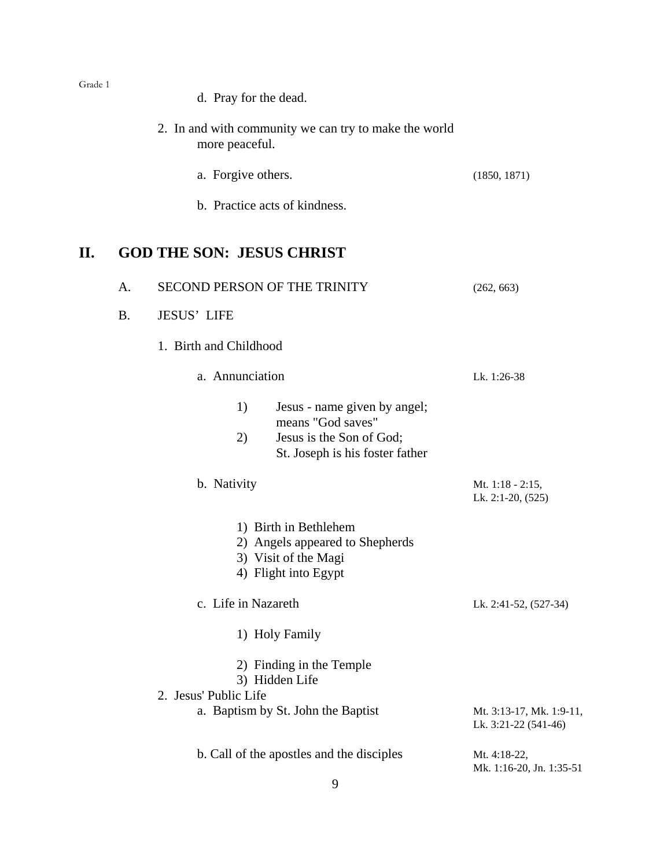- d. Pray for the dead.
- 2. In and with community we can try to make the world more peaceful.
	- a. Forgive others. (1850, 1871)
	- b. Practice acts of kindness.

## **II. GOD THE SON: JESUS CHRIST**

|                                                                     | A.                              | SECOND PERSON OF THE TRINITY |                                                                                                                  | (262, 663)                                       |
|---------------------------------------------------------------------|---------------------------------|------------------------------|------------------------------------------------------------------------------------------------------------------|--------------------------------------------------|
|                                                                     | <b>B.</b><br><b>JESUS' LIFE</b> |                              |                                                                                                                  |                                                  |
|                                                                     |                                 | 1. Birth and Childhood       |                                                                                                                  |                                                  |
|                                                                     |                                 | a. Annunciation              |                                                                                                                  | Lk. 1:26-38                                      |
|                                                                     |                                 | 1)<br>2)                     | Jesus - name given by angel;<br>means "God saves"<br>Jesus is the Son of God;<br>St. Joseph is his foster father |                                                  |
|                                                                     |                                 | b. Nativity                  |                                                                                                                  | Mt. $1:18 - 2:15$ ,<br>Lk. 2:1-20, (525)         |
|                                                                     |                                 |                              | 1) Birth in Bethlehem<br>2) Angels appeared to Shepherds<br>3) Visit of the Magi<br>4) Flight into Egypt         |                                                  |
|                                                                     |                                 | c. Life in Nazareth          |                                                                                                                  | Lk. 2:41-52, (527-34)                            |
|                                                                     |                                 |                              | 1) Holy Family                                                                                                   |                                                  |
| 2) Finding in the Temple<br>3) Hidden Life<br>2. Jesus' Public Life |                                 |                              |                                                                                                                  |                                                  |
|                                                                     |                                 |                              | a. Baptism by St. John the Baptist                                                                               | Mt. 3:13-17, Mk. 1:9-11,<br>Lk. 3:21-22 (541-46) |
|                                                                     |                                 |                              | b. Call of the apostles and the disciples<br>9                                                                   | Mt. 4:18-22,<br>Mk. 1:16-20, Jn. 1:35-51         |
|                                                                     |                                 |                              |                                                                                                                  |                                                  |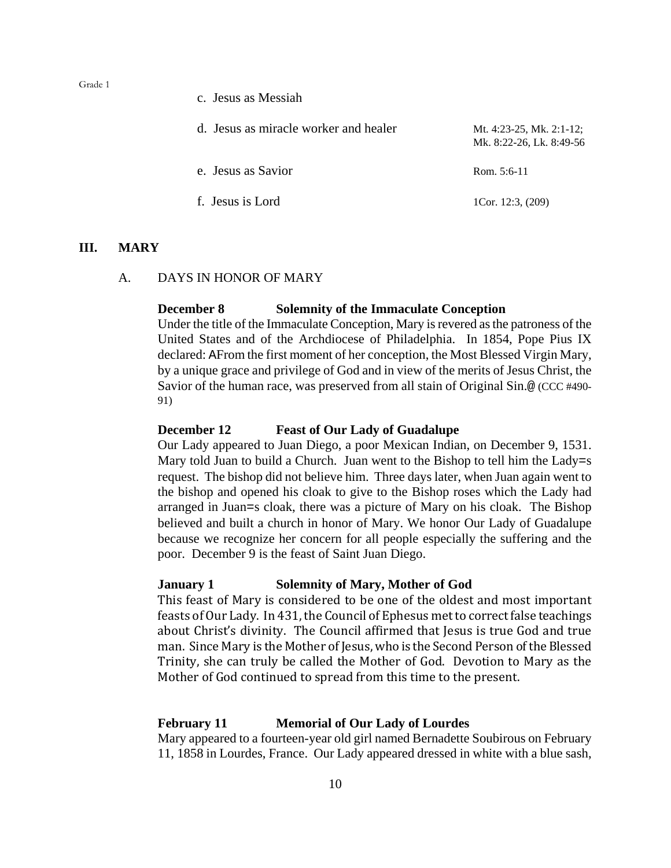c. Jesus as Messiah

| d. Jesus as miracle worker and healer | Mt. 4:23-25, Mk. 2:1-12;<br>Mk. 8:22-26, Lk. 8:49-56 |
|---------------------------------------|------------------------------------------------------|
| e. Jesus as Savior                    | Rom. $5:6-11$                                        |
| f. Jesus is Lord                      | 1Cor. 12:3, $(209)$                                  |

#### **III. MARY**

#### A. DAYS IN HONOR OF MARY

#### **December 8 Solemnity of the Immaculate Conception**

Under the title of the Immaculate Conception, Mary is revered as the patroness of the United States and of the Archdiocese of Philadelphia. In 1854, Pope Pius IX declared: AFrom the first moment of her conception, the Most Blessed Virgin Mary, by a unique grace and privilege of God and in view of the merits of Jesus Christ, the Savior of the human race, was preserved from all stain of Original Sin.@ (CCC #490- 91)

#### **December 12 Feast of Our Lady of Guadalupe**

Our Lady appeared to Juan Diego, a poor Mexican Indian, on December 9, 1531. Mary told Juan to build a Church. Juan went to the Bishop to tell him the Lady=s request. The bishop did not believe him. Three days later, when Juan again went to the bishop and opened his cloak to give to the Bishop roses which the Lady had arranged in Juan=s cloak, there was a picture of Mary on his cloak. The Bishop believed and built a church in honor of Mary. We honor Our Lady of Guadalupe because we recognize her concern for all people especially the suffering and the poor. December 9 is the feast of Saint Juan Diego.

#### **January 1 Solemnity of Mary, Mother of God**

This feast of Mary is considered to be one of the oldest and most important feasts of Our Lady. In 431, the Council of Ephesus met to correct false teachings about Christ's divinity. The Council affirmed that Jesus is true God and true man. Since Mary is the Mother of Jesus, who is the Second Person of the Blessed Trinity, she can truly be called the Mother of God. Devotion to Mary as the Mother of God continued to spread from this time to the present.

#### **February 11 Memorial of Our Lady of Lourdes**

Mary appeared to a fourteen-year old girl named Bernadette Soubirous on February 11, 1858 in Lourdes, France. Our Lady appeared dressed in white with a blue sash,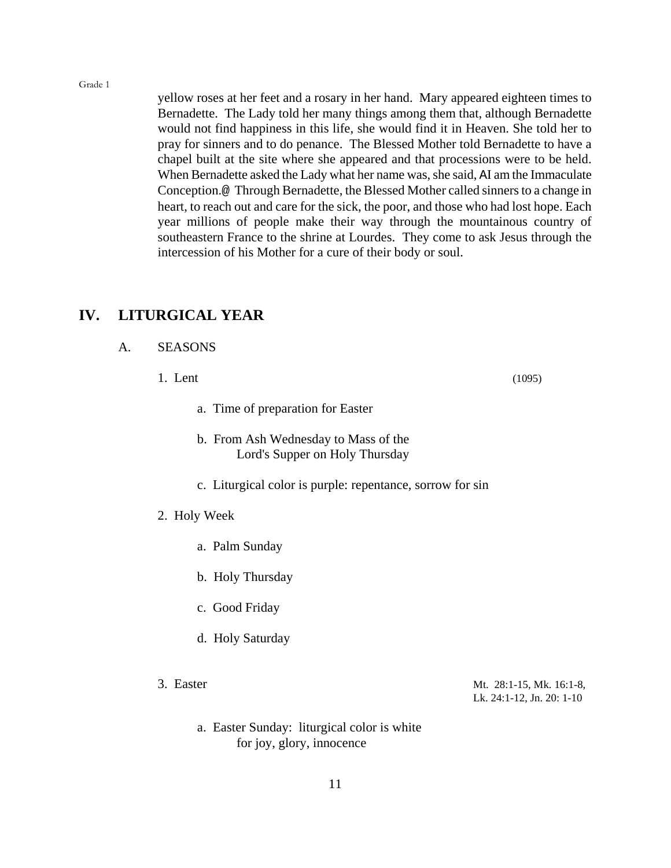yellow roses at her feet and a rosary in her hand. Mary appeared eighteen times to Bernadette. The Lady told her many things among them that, although Bernadette would not find happiness in this life, she would find it in Heaven. She told her to pray for sinners and to do penance. The Blessed Mother told Bernadette to have a chapel built at the site where she appeared and that processions were to be held. When Bernadette asked the Lady what her name was, she said, AI am the Immaculate Conception.@ Through Bernadette, the Blessed Mother called sinners to a change in heart, to reach out and care for the sick, the poor, and those who had lost hope. Each year millions of people make their way through the mountainous country of southeastern France to the shrine at Lourdes. They come to ask Jesus through the intercession of his Mother for a cure of their body or soul.

### **IV. LITURGICAL YEAR**

| A. | <b>SEASONS</b> |
|----|----------------|
|    |                |

- 1. Lent (1095)
	- a. Time of preparation for Easter
	- b. From Ash Wednesday to Mass of the Lord's Supper on Holy Thursday
	- c. Liturgical color is purple: repentance, sorrow for sin
- 2. Holy Week
	- a. Palm Sunday
	- b. Holy Thursday
	- c. Good Friday
	- d. Holy Saturday
- 

3. Easter Mt. 28:1-15, Mk. 16:1-8, Lk. 24:1-12, Jn. 20: 1-10

a. Easter Sunday: liturgical color is white for joy, glory, innocence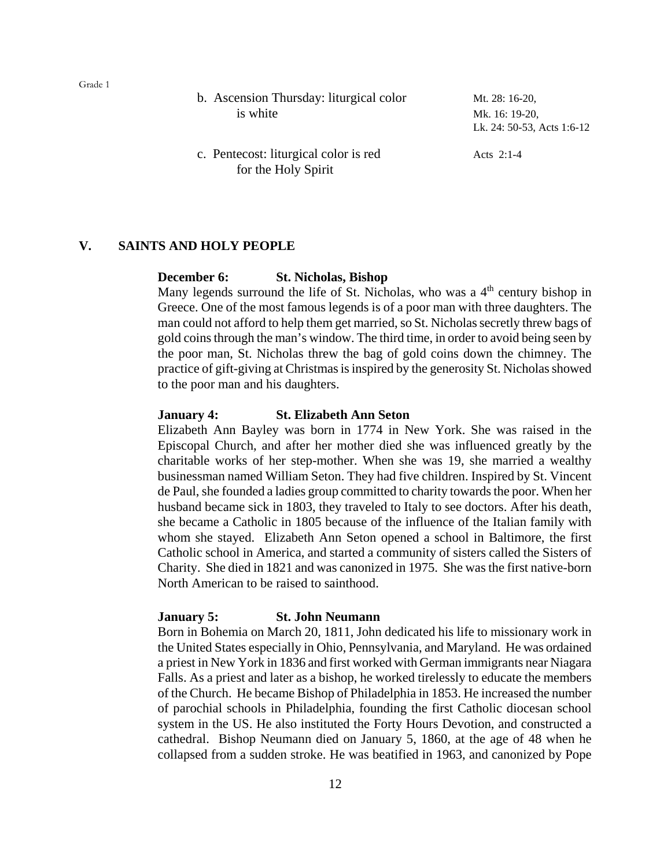| b. Ascension Thursday: liturgical color<br>is white          | Mt. 28: 16-20,<br>Mk. 16: 19-20,<br>Lk. 24: 50-53, Acts 1:6-12 |
|--------------------------------------------------------------|----------------------------------------------------------------|
| c. Pentecost: liturgical color is red<br>for the Holy Spirit | Acts $2:1-4$                                                   |

#### **V. SAINTS AND HOLY PEOPLE**

#### **December 6: St. Nicholas, Bishop**

Many legends surround the life of St. Nicholas, who was a  $4<sup>th</sup>$  century bishop in Greece. One of the most famous legends is of a poor man with three daughters. The man could not afford to help them get married, so St. Nicholas secretly threw bags of gold coins through the man's window. The third time, in order to avoid being seen by the poor man, St. Nicholas threw the bag of gold coins down the chimney. The practice of gift-giving at Christmas is inspired by the generosity St. Nicholas showed to the poor man and his daughters.

#### **January 4: St. Elizabeth Ann Seton**

Elizabeth Ann Bayley was born in 1774 in New York. She was raised in the Episcopal Church, and after her mother died she was influenced greatly by the charitable works of her step-mother. When she was 19, she married a wealthy businessman named William Seton. They had five children. Inspired by St. Vincent de Paul, she founded a ladies group committed to charity towards the poor. When her husband became sick in 1803, they traveled to Italy to see doctors. After his death, she became a Catholic in 1805 because of the influence of the Italian family with whom she stayed. Elizabeth Ann Seton opened a school in Baltimore, the first Catholic school in America, and started a community of sisters called the Sisters of Charity. She died in 1821 and was canonized in 1975. She was the first native-born North American to be raised to sainthood.

#### **January 5: St. John Neumann**

Born in Bohemia on March 20, 1811, John dedicated his life to missionary work in the United States especially in Ohio, Pennsylvania, and Maryland. He was ordained a priest in New York in 1836 and first worked with German immigrants near Niagara Falls. As a priest and later as a bishop, he worked tirelessly to educate the members of the Church. He became Bishop of Philadelphia in 1853. He increased the number of parochial schools in Philadelphia, founding the first Catholic diocesan school system in the US. He also instituted the Forty Hours Devotion, and constructed a cathedral. Bishop Neumann died on January 5, 1860, at the age of 48 when he collapsed from a sudden stroke. He was beatified in 1963, and canonized by Pope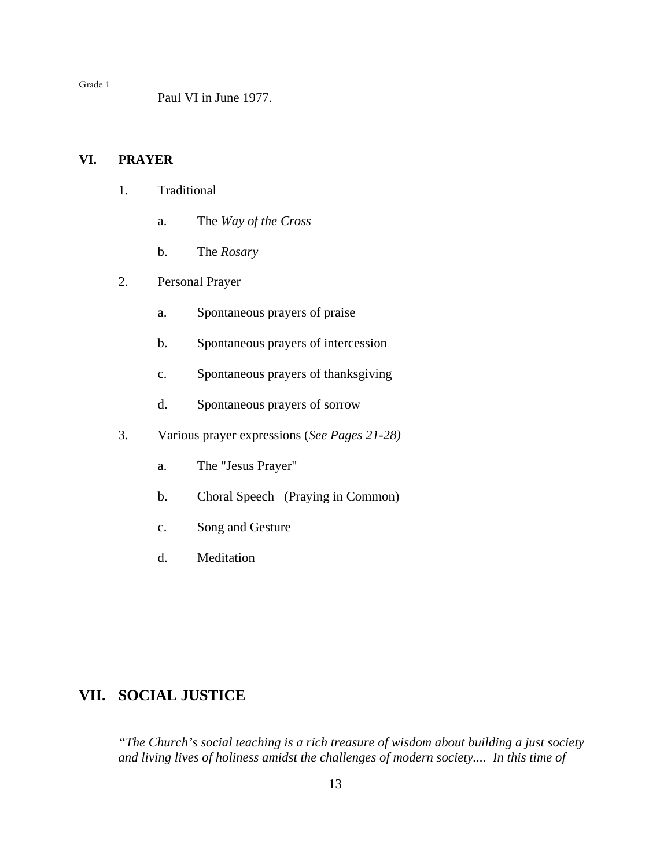Paul VI in June 1977.

#### **VI. PRAYER**

- 1. Traditional
	- a. The *Way of the Cross*
	- b. The *Rosary*
- 2. Personal Prayer
	- a. Spontaneous prayers of praise
	- b. Spontaneous prayers of intercession
	- c. Spontaneous prayers of thanksgiving
	- d. Spontaneous prayers of sorrow
- 3. Various prayer expressions (*See Pages 21-28)*
	- a. The "Jesus Prayer"
	- b. Choral Speech (Praying in Common)
	- c. Song and Gesture
	- d. Meditation

## **VII. SOCIAL JUSTICE**

*"The Church's social teaching is a rich treasure of wisdom about building a just society and living lives of holiness amidst the challenges of modern society.... In this time of*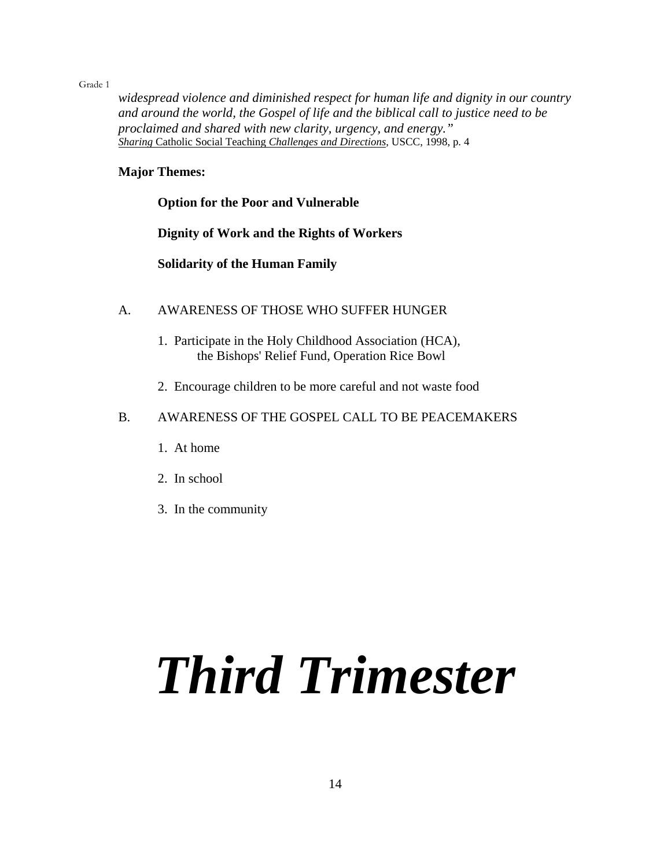*widespread violence and diminished respect for human life and dignity in our country and around the world, the Gospel of life and the biblical call to justice need to be proclaimed and shared with new clarity, urgency, and energy." Sharing* Catholic Social Teaching *Challenges and Directions*, USCC, 1998, p. 4

#### **Major Themes:**

#### **Option for the Poor and Vulnerable**

**Dignity of Work and the Rights of Workers**

**Solidarity of the Human Family**

- A. AWARENESS OF THOSE WHO SUFFER HUNGER
	- 1. Participate in the Holy Childhood Association (HCA), the Bishops' Relief Fund, Operation Rice Bowl
	- 2. Encourage children to be more careful and not waste food

#### B. AWARENESS OF THE GOSPEL CALL TO BE PEACEMAKERS

- 1. At home
- 2. In school
- 3. In the community

# *Third Trimester*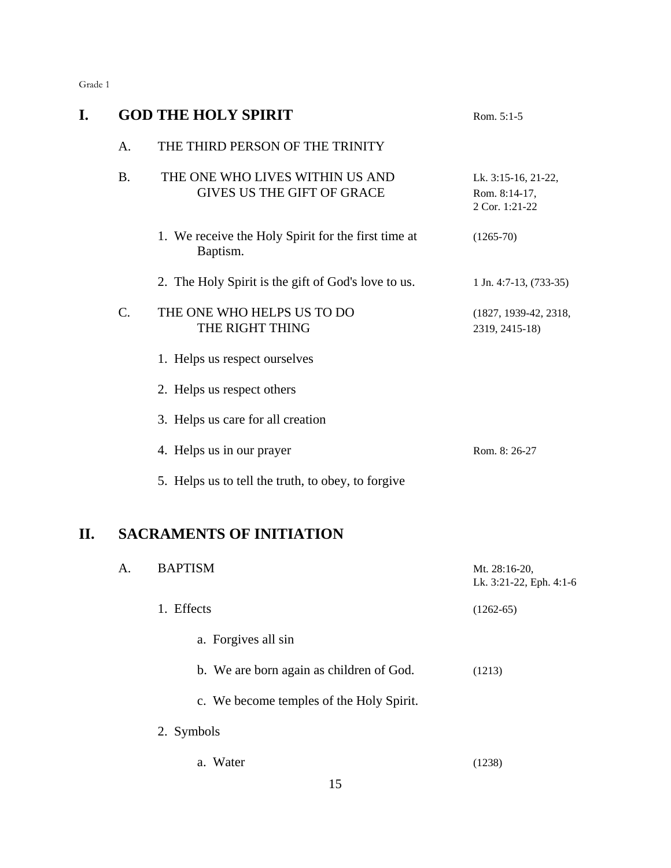| т м<br>ı |  |
|----------|--|
|----------|--|

|                 | <b>GOD THE HOLY SPIRIT</b>                                           | Rom. 5:1-5                                             |
|-----------------|----------------------------------------------------------------------|--------------------------------------------------------|
| A.              | THE THIRD PERSON OF THE TRINITY                                      |                                                        |
| <b>B.</b>       | THE ONE WHO LIVES WITHIN US AND<br><b>GIVES US THE GIFT OF GRACE</b> | Lk. 3:15-16, 21-22,<br>Rom. 8:14-17,<br>2 Cor. 1:21-22 |
|                 | 1. We receive the Holy Spirit for the first time at<br>Baptism.      | $(1265-70)$                                            |
|                 | 2. The Holy Spirit is the gift of God's love to us.                  | $1$ Jn. 4:7-13, (733-35)                               |
| $\mathcal{C}$ . | THE ONE WHO HELPS US TO DO<br>THE RIGHT THING                        | (1827, 1939-42, 2318,<br>2319, 2415-18)                |
|                 | 1. Helps us respect ourselves                                        |                                                        |
|                 | 2. Helps us respect others                                           |                                                        |
|                 | 3. Helps us care for all creation                                    |                                                        |
|                 | 4. Helps us in our prayer                                            | Rom. 8: 26-27                                          |
|                 | 5. Helps us to tell the truth, to obey, to forgive                   |                                                        |
|                 |                                                                      |                                                        |

## **II. SACRAMENTS OF INITIATION**

| A. | <b>BAPTISM</b>                           | Mt. 28:16-20,<br>Lk. 3:21-22, Eph. 4:1-6 |
|----|------------------------------------------|------------------------------------------|
|    | 1. Effects                               | $(1262-65)$                              |
|    | a. Forgives all sin                      |                                          |
|    | b. We are born again as children of God. | (1213)                                   |
|    | c. We become temples of the Holy Spirit. |                                          |
|    | 2. Symbols                               |                                          |
|    | a. Water                                 | (1238)                                   |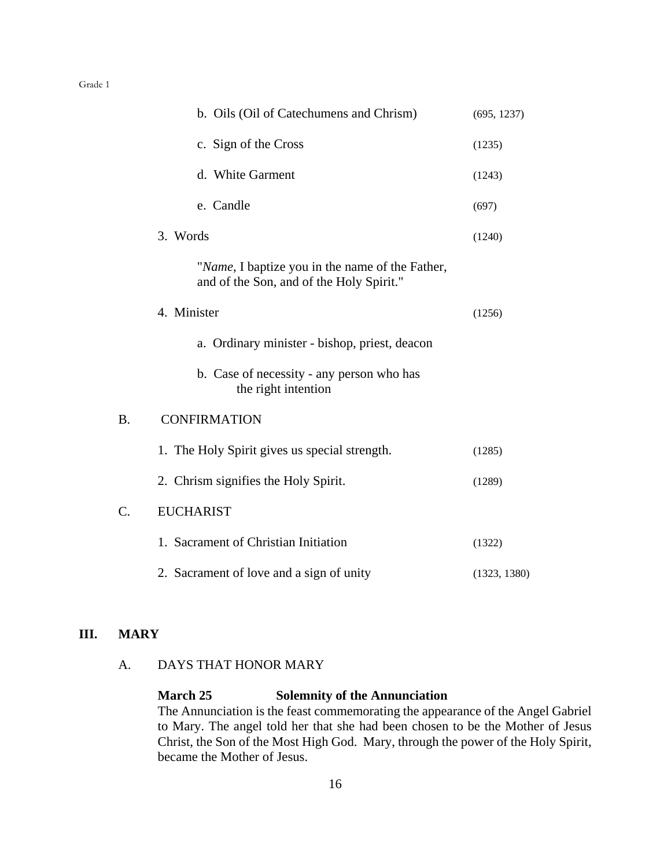|    | b. Oils (Oil of Catechumens and Chrism)                                                     | (695, 1237)  |
|----|---------------------------------------------------------------------------------------------|--------------|
|    | c. Sign of the Cross                                                                        | (1235)       |
|    | d. White Garment                                                                            | (1243)       |
|    | e. Candle                                                                                   | (697)        |
|    | 3. Words                                                                                    | (1240)       |
|    | "Name, I baptize you in the name of the Father,<br>and of the Son, and of the Holy Spirit." |              |
|    | 4. Minister                                                                                 | (1256)       |
|    | a. Ordinary minister - bishop, priest, deacon                                               |              |
|    | b. Case of necessity - any person who has<br>the right intention                            |              |
| Β. | <b>CONFIRMATION</b>                                                                         |              |
|    | 1. The Holy Spirit gives us special strength.                                               | (1285)       |
|    | 2. Chrism signifies the Holy Spirit.                                                        | (1289)       |
| C. | <b>EUCHARIST</b>                                                                            |              |
|    | 1. Sacrament of Christian Initiation                                                        | (1322)       |
|    | 2. Sacrament of love and a sign of unity                                                    | (1323, 1380) |

#### **III. MARY**

### A. DAYS THAT HONOR MARY

**March 25 Solemnity of the Annunciation** The Annunciation is the feast commemorating the appearance of the Angel Gabriel to Mary. The angel told her that she had been chosen to be the Mother of Jesus Christ, the Son of the Most High God. Mary, through the power of the Holy Spirit, became the Mother of Jesus.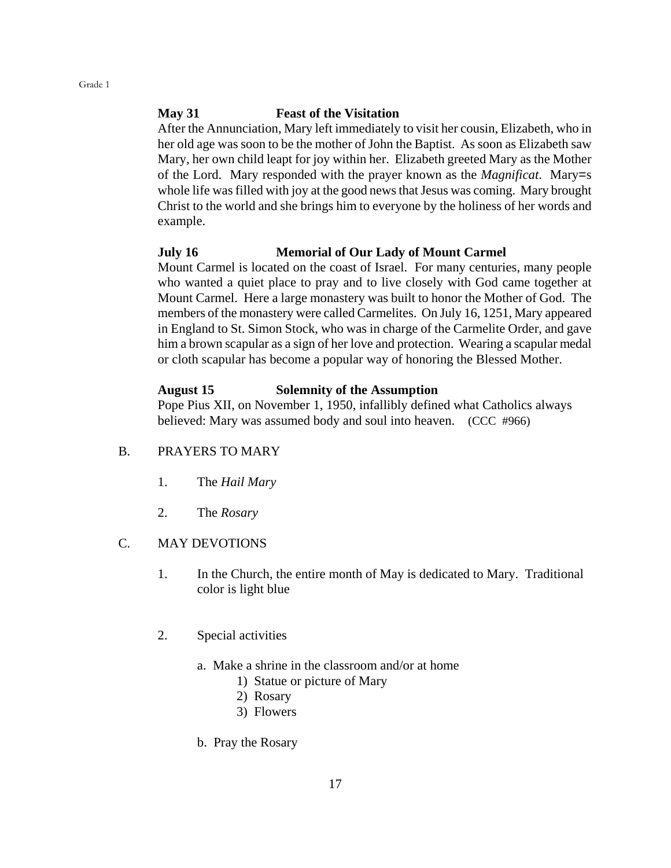#### **May 31 Feast of the Visitation**

After the Annunciation, Mary left immediately to visit her cousin, Elizabeth, who in her old age was soon to be the mother of John the Baptist. As soon as Elizabeth saw Mary, her own child leapt for joy within her. Elizabeth greeted Mary as the Mother of the Lord. Mary responded with the prayer known as the *Magnificat*. Mary=s whole life was filled with joy at the good news that Jesus was coming. Mary brought Christ to the world and she brings him to everyone by the holiness of her words and example.

#### **July 16 Memorial of Our Lady of Mount Carmel**

Mount Carmel is located on the coast of Israel. For many centuries, many people who wanted a quiet place to pray and to live closely with God came together at Mount Carmel. Here a large monastery was built to honor the Mother of God. The members of the monastery were called Carmelites. On July 16, 1251, Mary appeared in England to St. Simon Stock, who was in charge of the Carmelite Order, and gave him a brown scapular as a sign of her love and protection. Wearing a scapular medal or cloth scapular has become a popular way of honoring the Blessed Mother.

#### **August 15 Solemnity of the Assumption**

Pope Pius XII, on November 1, 1950, infallibly defined what Catholics always believed: Mary was assumed body and soul into heaven. (CCC #966)

#### B. PRAYERS TO MARY

- 1. The *Hail Mary*
- 2. The *Rosary*

#### C. MAY DEVOTIONS

- 1. In the Church, the entire month of May is dedicated to Mary. Traditional color is light blue
- 2. Special activities
	- a. Make a shrine in the classroom and/or at home
		- 1) Statue or picture of Mary
		- 2) Rosary
		- 3) Flowers
	- b. Pray the Rosary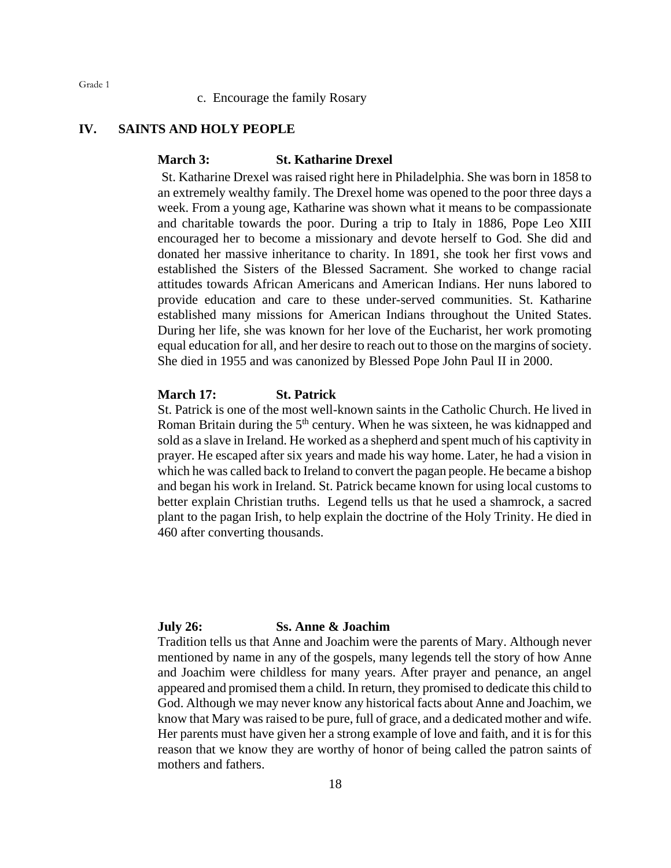c. Encourage the family Rosary

#### **IV. SAINTS AND HOLY PEOPLE**

#### **March 3: St. Katharine Drexel**

St. Katharine Drexel was raised right here in Philadelphia. She was born in 1858 to an extremely wealthy family. The Drexel home was opened to the poor three days a week. From a young age, Katharine was shown what it means to be compassionate and charitable towards the poor. During a trip to Italy in 1886, Pope Leo XIII encouraged her to become a missionary and devote herself to God. She did and donated her massive inheritance to charity. In 1891, she took her first vows and established the Sisters of the Blessed Sacrament. She worked to change racial attitudes towards African Americans and American Indians. Her nuns labored to provide education and care to these under-served communities. St. Katharine established many missions for American Indians throughout the United States. During her life, she was known for her love of the Eucharist, her work promoting equal education for all, and her desire to reach out to those on the margins of society. She died in 1955 and was canonized by Blessed Pope John Paul II in 2000.

#### **March 17: St. Patrick**

St. Patrick is one of the most well-known saints in the Catholic Church. He lived in Roman Britain during the  $5<sup>th</sup>$  century. When he was sixteen, he was kidnapped and sold as a slave in Ireland. He worked as a shepherd and spent much of his captivity in prayer. He escaped after six years and made his way home. Later, he had a vision in which he was called back to Ireland to convert the pagan people. He became a bishop and began his work in Ireland. St. Patrick became known for using local customs to better explain Christian truths. Legend tells us that he used a shamrock, a sacred plant to the pagan Irish, to help explain the doctrine of the Holy Trinity. He died in 460 after converting thousands.

#### **July 26: Ss. Anne & Joachim**

Tradition tells us that Anne and Joachim were the parents of Mary. Although never mentioned by name in any of the gospels, many legends tell the story of how Anne and Joachim were childless for many years. After prayer and penance, an angel appeared and promised them a child. In return, they promised to dedicate this child to God. Although we may never know any historical facts about Anne and Joachim, we know that Mary was raised to be pure, full of grace, and a dedicated mother and wife. Her parents must have given her a strong example of love and faith, and it is for this reason that we know they are worthy of honor of being called the patron saints of mothers and fathers.

Grade 1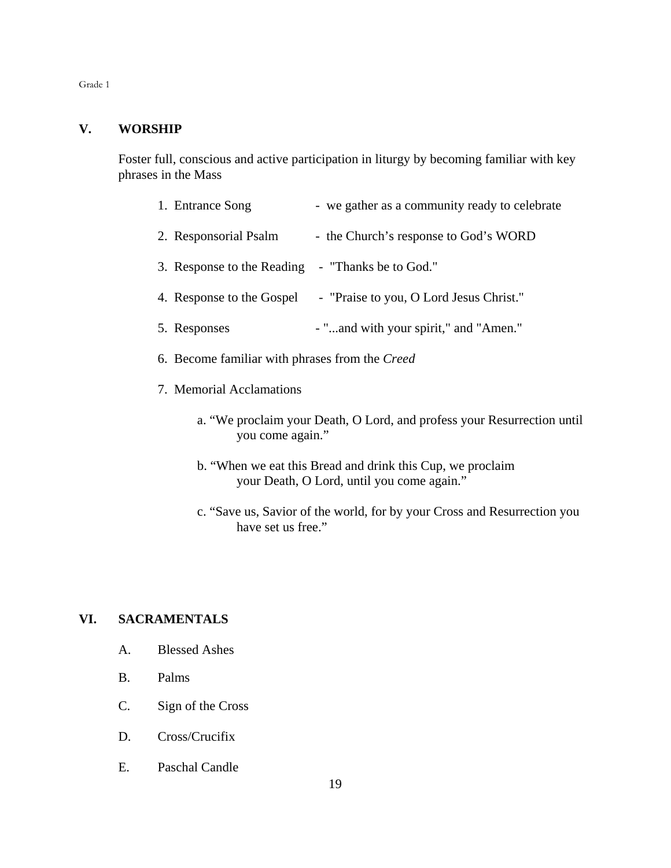#### **V. WORSHIP**

Foster full, conscious and active participation in liturgy by becoming familiar with key phrases in the Mass

| 1. Entrance Song           | - we gather as a community ready to celebrate |
|----------------------------|-----------------------------------------------|
| 2. Responsorial Psalm      | - the Church's response to God's WORD         |
| 3. Response to the Reading | - "Thanks be to God."                         |
| 4. Response to the Gospel  | - "Praise to you, O Lord Jesus Christ."       |
| 5. Responses               | - "and with your spirit," and "Amen."         |
|                            |                                               |

- 6. Become familiar with phrases from the *Creed*
- 7. Memorial Acclamations
	- a. "We proclaim your Death, O Lord, and profess your Resurrection until you come again."
	- b. "When we eat this Bread and drink this Cup, we proclaim your Death, O Lord, until you come again."
	- c. "Save us, Savior of the world, for by your Cross and Resurrection you have set us free."

#### **VI. SACRAMENTALS**

- A. Blessed Ashes
- B. Palms
- C. Sign of the Cross
- D. Cross/Crucifix
- E. Paschal Candle